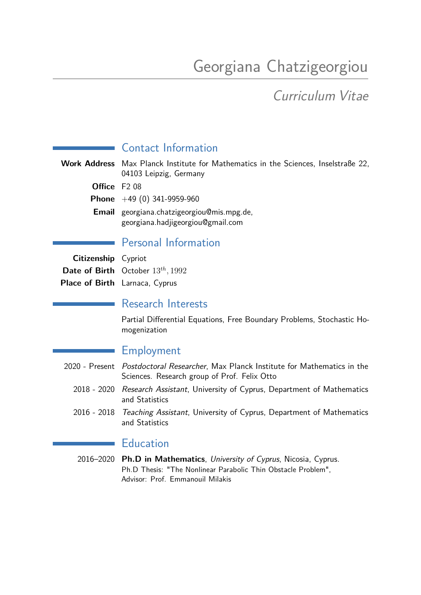# Georgiana Chatzigeorgiou

## Curriculum Vitae

## Contact Information

**Work Address** Max Planck Institute for Mathematics in the Sciences, Inselstraße 22, 04103 Leipzig, Germany **Office** F2 08 **Phone** +49 (0) 341-9959-960 **Email** georgiana.chatzigeorgiou@mis.mpg.de,

georgiana.hadjigeorgiou@gmail.com

## Personal Information

| <b>Citizenship</b> Cypriot |                                               |
|----------------------------|-----------------------------------------------|
|                            | <b>Date of Birth</b> October $13^{th}$ , 1992 |
|                            | Place of Birth Larnaca, Cyprus                |

#### Research Interests

Partial Differential Equations, Free Boundary Problems, Stochastic Homogenization

## Employment

- 2020 Present Postdoctoral Researcher, Max Planck Institute for Mathematics in the Sciences. Research group of Prof. Felix Otto
	- 2018 2020 Research Assistant, University of Cyprus, Department of Mathematics and Statistics
	- 2016 2018 Teaching Assistant, University of Cyprus, Department of Mathematics and Statistics

## **Education**

2016–2020 **Ph.D in Mathematics**, University of Cyprus, Nicosia, Cyprus. Ph.D Thesis: "The Nonlinear Parabolic Thin Obstacle Problem", Advisor: Prof. Emmanouil Milakis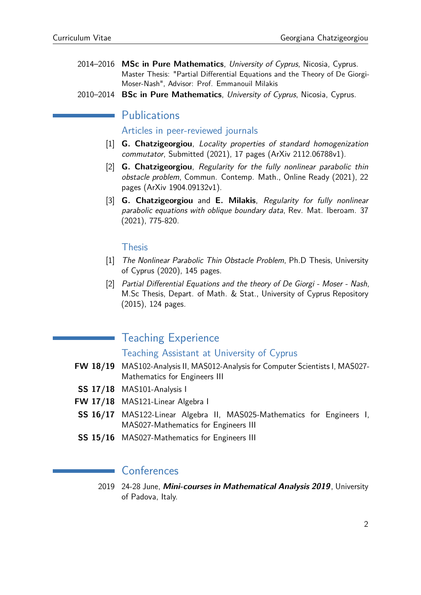- 2014–2016 **MSc in Pure Mathematics**, University of Cyprus, Nicosia, Cyprus. Master Thesis: "Partial Differential Equations and the Theory of De Giorgi-Moser-Nash", Advisor: Prof. Emmanouil Milakis
- 2010–2014 **BSc in Pure Mathematics**, University of Cyprus, Nicosia, Cyprus.

#### Publications

Articles in peer-reviewed journals

- [1] **G. Chatzigeorgiou**, Locality properties of standard homogenization commutator, Submitted (2021), 17 pages (ArXiv 2112.06788v1).
- [2] **G. Chatzigeorgiou**, Regularity for the fully nonlinear parabolic thin obstacle problem, Commun. Contemp. Math., Online Ready (2021), 22 pages (ArXiv 1904.09132v1).
- [3] **G. Chatzigeorgiou** and **E. Milakis**, Regularity for fully nonlinear parabolic equations with oblique boundary data, Rev. Mat. Iberoam. 37 (2021), 775-820.

#### Thesis

- [1] The Nonlinear Parabolic Thin Obstacle Problem, Ph.D Thesis, University of Cyprus (2020), 145 pages.
- [2] Partial Differential Equations and the theory of De Giorgi Moser Nash, M.Sc Thesis, Depart. of Math. & Stat., University of Cyprus Repository (2015), 124 pages.

#### Teaching Experience

Teaching Assistant at University of Cyprus

- **FW 18/19** MAS102-Analysis II, MAS012-Analysis for Computer Scientists I, MAS027- Mathematics for Engineers III
- **SS 17/18** MAS101-Analysis I
- **FW 17/18** MAS121-Linear Algebra I
- **SS 16/17** MAS122-Linear Algebra II, MAS025-Mathematics for Engineers I, MAS027-Mathematics for Engineers III
- **SS 15/16** MAS027-Mathematics for Engineers III

#### **Conferences**

2019 24-28 June, **Mini-courses in Mathematical Analysis 2019**, University of Padova, Italy.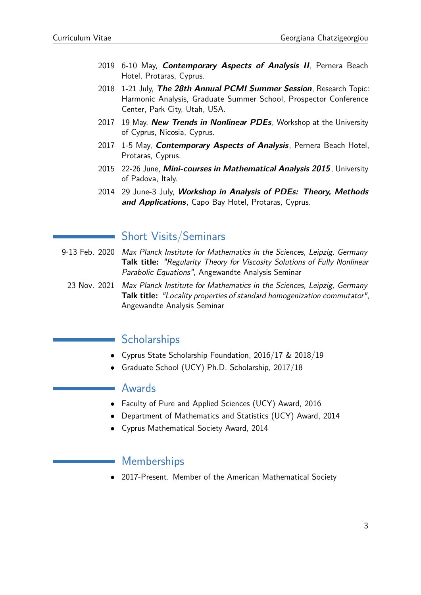- 2019 6-10 May, **Contemporary Aspects of Analysis II**, Pernera Beach Hotel, Protaras, Cyprus.
- 2018 1-21 July, **The 28th Annual PCMI Summer Session**, Research Topic: Harmonic Analysis, Graduate Summer School, Prospector Conference Center, Park City, Utah, USA.
- 2017 19 May, **New Trends in Nonlinear PDEs**, Workshop at the University of Cyprus, Nicosia, Cyprus.
- 2017 1-5 May, **Contemporary Aspects of Analysis**, Pernera Beach Hotel, Protaras, Cyprus.
- 2015 22-26 June, **Mini-courses in Mathematical Analysis 2015**, University of Padova, Italy.
- 2014 29 June-3 July, **Workshop in Analysis of PDEs: Theory, Methods and Applications**, Capo Bay Hotel, Protaras, Cyprus.

#### Short Visits/Seminars

- 9-13 Feb. 2020 Max Planck Institute for Mathematics in the Sciences, Leipzig, Germany **Talk title:** "Regularity Theory for Viscosity Solutions of Fully Nonlinear Parabolic Equations", Angewandte Analysis Seminar
	- 23 Nov. 2021 Max Planck Institute for Mathematics in the Sciences, Leipzig, Germany **Talk title:** "Locality properties of standard homogenization commutator", Angewandte Analysis Seminar

## **Scholarships**

- Cyprus State Scholarship Foundation, 2016/17 & 2018/19
- Graduate School (UCY) Ph.D. Scholarship, 2017/18

#### Awards

- Faculty of Pure and Applied Sciences (UCY) Award, 2016
- Department of Mathematics and Statistics (UCY) Award, 2014
- Cyprus Mathematical Society Award, 2014

## Memberships

• 2017-Present. Member of the American Mathematical Society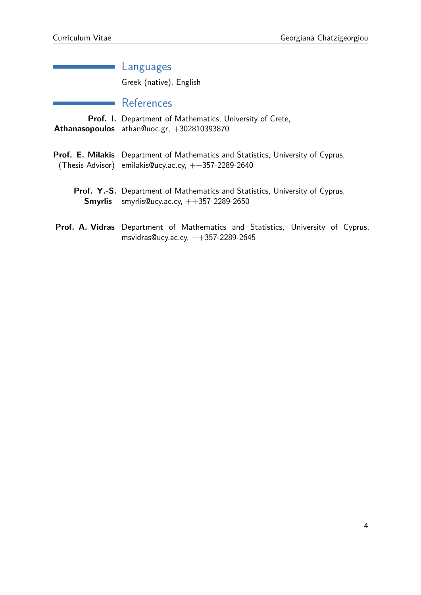| Languages                                                                                                                                          |
|----------------------------------------------------------------------------------------------------------------------------------------------------|
| Greek (native), English                                                                                                                            |
| References                                                                                                                                         |
| <b>Prof. I.</b> Department of Mathematics, University of Crete,<br>Athanasopoulos athan@uoc.gr, +302810393870                                      |
| <b>Prof. E. Milakis</b> Department of Mathematics and Statistics, University of Cyprus,<br>(Thesis Advisor) emilakis Oucy.ac.cy, $++357-2289-2640$ |
| Prof. Y.-S. Department of Mathematics and Statistics, University of Cyprus,<br><b>Smyrlis</b> smyrlis @ucy.ac.cy, $++357-2289-2650$                |
| <b>Prof. A. Vidras</b> Department of Mathematics and Statistics, University of Cyprus,<br>msvidras@ucy.ac.cy, $++357-2289-2645$                    |